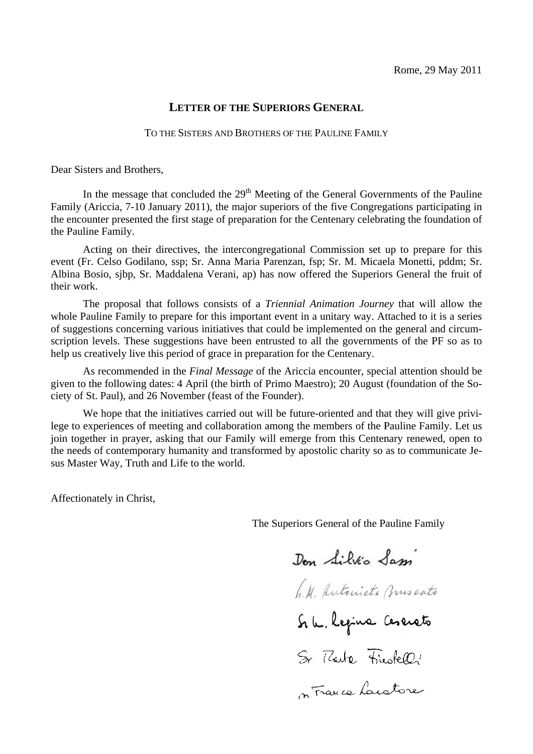# **LETTER OF THE SUPERIORS GENERAL**

#### TO THE SISTERS AND BROTHERS OF THE PAULINE FAMILY

Dear Sisters and Brothers,

In the message that concluded the  $29<sup>th</sup>$  Meeting of the General Governments of the Pauline Family (Ariccia, 7-10 January 2011), the major superiors of the five Congregations participating in the encounter presented the first stage of preparation for the Centenary celebrating the foundation of the Pauline Family.

Acting on their directives, the intercongregational Commission set up to prepare for this event (Fr. Celso Godilano, ssp; Sr. Anna Maria Parenzan, fsp; Sr. M. Micaela Monetti, pddm; Sr. Albina Bosio, sibp, Sr. Maddalena Verani, ap) has now offered the Superiors General the fruit of their work.

The proposal that follows consists of a *Triennial Animation Journey* that will allow the whole Pauline Family to prepare for this important event in a unitary way. Attached to it is a series of suggestions concerning various initiatives that could be implemented on the general and circumscription levels. These suggestions have been entrusted to all the governments of the PF so as to help us creatively live this period of grace in preparation for the Centenary.

As recommended in the Final Message of the Ariccia encounter, special attention should be given to the following dates: 4 April (the birth of Primo Maestro); 20 August (foundation of the Society of St. Paul), and 26 November (feast of the Founder).

We hope that the initiatives carried out will be future-oriented and that they will give privilege to experiences of meeting and collaboration among the members of the Pauline Family. Let us join together in prayer, asking that our Family will emerge from this Centenary renewed, open to the needs of contemporary humanity and transformed by apostolic charity so as to communicate Jesus Master Way, Truth and Life to the world.

Affectionately in Christ,

The Superiors General of the Pauline Family

Don Silvio Sam

h.M. Autonieta Burscato

Si le Regine Ceserato

Sr Tharte Friestell!

s France Lanatore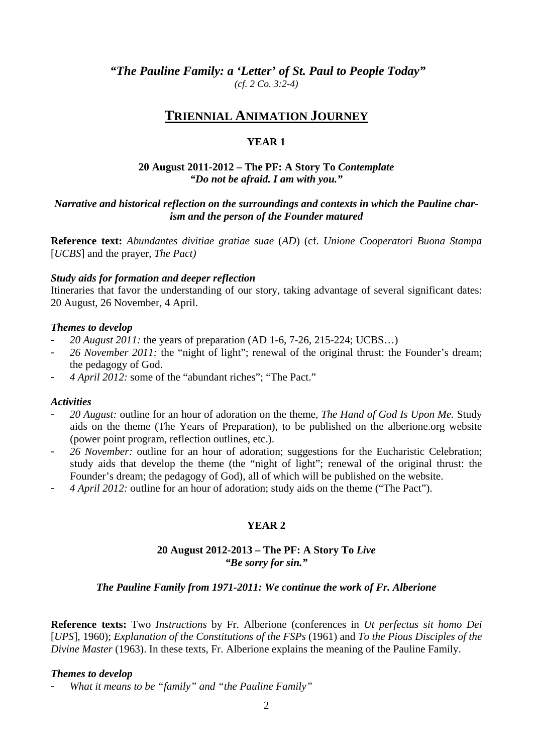*"The Pauline Family: a 'Letter' of St. Paul to People Today" (cf. 2 Co. 3:2-4)* 

# **TRIENNIAL ANIMATION JOURNEY**

# **YEAR 1**

#### **20 August 2011-2012 – The PF: A Story To** *Contemplate "Do not be afraid. I am with you."*

### *Narrative and historical reflection on the surroundings and contexts in which the Pauline charism and the person of the Founder matured*

**Reference text:** *Abundantes divitiae gratiae suae* (*AD*) (cf. *Unione Cooperatori Buona Stampa* [*UCBS*] and the prayer, *The Pact)* 

#### *Study aids for formation and deeper reflection*

Itineraries that favor the understanding of our story, taking advantage of several significant dates: 20 August, 26 November, 4 April.

#### *Themes to develop*

- *20 August 2011:* the years of preparation (AD 1-6, 7-26, 215-224; UCBS…)
- 26 *November 2011*: the "night of light"; renewal of the original thrust: the Founder's dream; the pedagogy of God.
- *4 April 2012:* some of the "abundant riches"; "The Pact."

#### *Activities*

- *20 August:* outline for an hour of adoration on the theme, *The Hand of God Is Upon Me.* Study aids on the theme (The Years of Preparation)*,* to be published on the alberione.org website (power point program, reflection outlines, etc.).
- *26 November:* outline for an hour of adoration; suggestions for the Eucharistic Celebration; study aids that develop the theme (the "night of light"; renewal of the original thrust: the Founder's dream; the pedagogy of God), all of which will be published on the website.
- *4 April 2012:* outline for an hour of adoration; study aids on the theme ("The Pact").

# **YEAR 2**

#### **20 August 2012-2013 – The PF: A Story To** *Live "Be sorry for sin."*

#### *The Pauline Family from 1971-2011: We continue the work of Fr. Alberione*

**Reference texts:** Two *Instructions* by Fr. Alberione (conferences in *Ut perfectus sit homo Dei*  [*UPS*], 1960); *Explanation of the Constitutions of the FSPs* (1961) and *To the Pious Disciples of the Divine Master* (1963). In these texts, Fr. Alberione explains the meaning of the Pauline Family.

#### *Themes to develop*

What it means to be "family" and "the Pauline Family"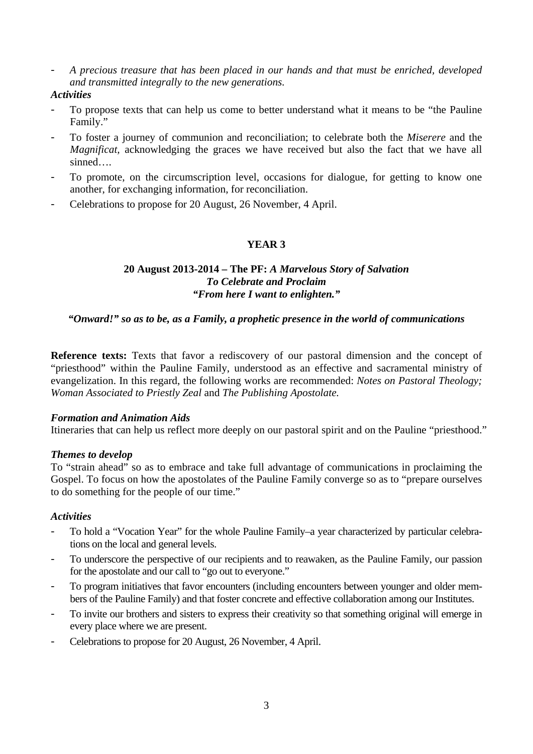- *A precious treasure that has been placed in our hands and that must be enriched, developed and transmitted integrally to the new generations.* 

#### *Activities*

- To propose texts that can help us come to better understand what it means to be "the Pauline Family."
- To foster a journey of communion and reconciliation; to celebrate both the *Miserere* and the *Magnificat,* acknowledging the graces we have received but also the fact that we have all sinned
- To promote, on the circumscription level, occasions for dialogue, for getting to know one another, for exchanging information, for reconciliation.
- Celebrations to propose for 20 August, 26 November, 4 April.

# **YEAR 3**

#### **20 August 2013-2014 – The PF:** *A Marvelous Story of Salvation To Celebrate and Proclaim "From here I want to enlighten."*

### *"Onward!" so as to be, as a Family, a prophetic presence in the world of communications*

**Reference texts:** Texts that favor a rediscovery of our pastoral dimension and the concept of "priesthood" within the Pauline Family, understood as an effective and sacramental ministry of evangelization. In this regard, the following works are recommended: *Notes on Pastoral Theology; Woman Associated to Priestly Zeal* and *The Publishing Apostolate.*

#### *Formation and Animation Aids*

Itineraries that can help us reflect more deeply on our pastoral spirit and on the Pauline "priesthood."

#### *Themes to develop*

To "strain ahead" so as to embrace and take full advantage of communications in proclaiming the Gospel. To focus on how the apostolates of the Pauline Family converge so as to "prepare ourselves to do something for the people of our time."

#### *Activities*

- To hold a "Vocation Year" for the whole Pauline Family–a year characterized by particular celebrations on the local and general levels.
- To underscore the perspective of our recipients and to reawaken, as the Pauline Family, our passion for the apostolate and our call to "go out to everyone."
- To program initiatives that favor encounters (including encounters between younger and older members of the Pauline Family) and that foster concrete and effective collaboration among our Institutes.
- To invite our brothers and sisters to express their creativity so that something original will emerge in every place where we are present.
- Celebrations to propose for 20 August, 26 November, 4 April.